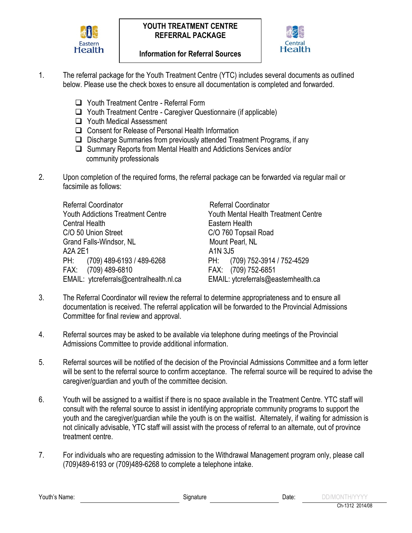



- 1. The referral package for the Youth Treatment Centre (YTC) includes several documents as outlined below. Please use the check boxes to ensure all documentation is completed and forwarded.
	- □ Youth Treatment Centre Referral Form
	- Youth Treatment Centre Caregiver Questionnaire (if applicable)
	- □ Youth Medical Assessment
	- □ Consent for Release of Personal Health Information
	- $\Box$  Discharge Summaries from previously attended Treatment Programs, if any
	- □ Summary Reports from Mental Health and Addictions Services and/or community professionals
- 2. Upon completion of the required forms, the referral package can be forwarded via regular mail or facsimile as follows:

Referral Coordinator **Referral Coordinator** Youth Addictions Treatment Centre Youth Mental Health Treatment Centre Central Health **Eastern Health** C/O 50 Union Street C/O 760 Topsail Road Grand Falls-Windsor, NL Mount Pearl, NL A2A 2E1 A1N 3J5 PH: (709) 489-6193 / 489-6268 PH: (709) 752-3914 / 752-4529 FAX: (709) 489-6810 FAX: (709) 752-6851 EMAIL: ytcreferrals@centralhealth.nl.ca EMAIL: ytcreferrals@easternhealth.ca

- 3. The Referral Coordinator will review the referral to determine appropriateness and to ensure all documentation is received. The referral application will be forwarded to the Provincial Admissions Committee for final review and approval.
- 4. Referral sources may be asked to be available via telephone during meetings of the Provincial Admissions Committee to provide additional information.
- 5. Referral sources will be notified of the decision of the Provincial Admissions Committee and a form letter will be sent to the referral source to confirm acceptance. The referral source will be required to advise the caregiver/guardian and youth of the committee decision.
- 6. Youth will be assigned to a waitlist if there is no space available in the Treatment Centre. YTC staff will consult with the referral source to assist in identifying appropriate community programs to support the youth and the caregiver/guardian while the youth is on the waitlist. Alternately, if waiting for admission is not clinically advisable, YTC staff will assist with the process of referral to an alternate, out of province treatment centre.
- 7. For individuals who are requesting admission to the Withdrawal Management program only, please call (709)489-6193 or (709)489-6268 to complete a telephone intake.

Youth's Name: The Contract of the Stephen Stephen Stephen Stephen Stephen Stephen Stephen Stephen Stephen Stephen Stephen Stephen Stephen Stephen Stephen Stephen Stephen Stephen Stephen Stephen Stephen Stephen Stephen Step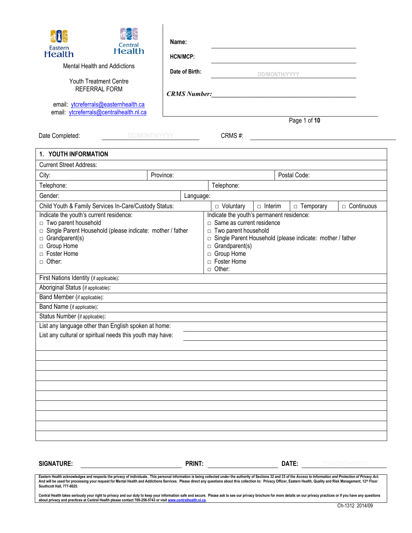| ĩl<br>Central<br>Eastern<br><b>Health</b><br>Mental Health and Addictions<br>Youth Treatment Centre<br><b>REFERRAL FORM</b><br>email: ytcreferrals@easternhealth.ca<br>email: ytcreferrals@centralhealth.nl.ca<br>Date Completed: | <b>Health</b><br>DD/MONTH/YYYY | Name:<br><b>HCN/MCP:</b><br>Date of Birth:<br><b>CRMS Number:</b> | CRMS#:                                                                                                                                | DD/MONTH/YYYY  | <u> 1989 - Johann Stoff, deutscher Stoffen und der Stoffen und der Stoffen und der Stoffen und der Stoffen und d</u><br>Page 1 of 10<br><u> 1980 - Jan Stein Stein Stein Stein Stein Stein Stein Stein Stein Stein Stein Stein Stein Stein Stein Stein S</u> |                      |
|-----------------------------------------------------------------------------------------------------------------------------------------------------------------------------------------------------------------------------------|--------------------------------|-------------------------------------------------------------------|---------------------------------------------------------------------------------------------------------------------------------------|----------------|--------------------------------------------------------------------------------------------------------------------------------------------------------------------------------------------------------------------------------------------------------------|----------------------|
| 1. YOUTH INFORMATION                                                                                                                                                                                                              |                                |                                                                   |                                                                                                                                       |                |                                                                                                                                                                                                                                                              |                      |
| <b>Current Street Address:</b>                                                                                                                                                                                                    |                                |                                                                   |                                                                                                                                       |                |                                                                                                                                                                                                                                                              |                      |
| City:                                                                                                                                                                                                                             | Province:                      |                                                                   |                                                                                                                                       |                | Postal Code:                                                                                                                                                                                                                                                 |                      |
| Telephone:                                                                                                                                                                                                                        |                                |                                                                   | Telephone:                                                                                                                            |                |                                                                                                                                                                                                                                                              |                      |
| Gender:                                                                                                                                                                                                                           |                                | Language:                                                         |                                                                                                                                       |                |                                                                                                                                                                                                                                                              |                      |
| Child Youth & Family Services In-Care/Custody Status:<br>Indicate the youth's current residence:                                                                                                                                  |                                |                                                                   | $\Box$ Voluntary<br>Indicate the youth's permanent residence:                                                                         | $\Box$ Interim | $\Box$ Temporary                                                                                                                                                                                                                                             | $\Box$ Continuous    |
| □ Two parent household<br>□ Single Parent Household (please indicate: mother / father<br>$\Box$ Grandparent(s)<br>□ Group Home<br>□ Foster Home<br>$\Box$ Other:                                                                  |                                |                                                                   | $\Box$ Same as current residence<br>□ Two parent household<br>$\Box$ Grandparent(s)<br>□ Group Home<br>□ Foster Home<br>$\Box$ Other: |                | □ Single Parent Household (please indicate: mother / father                                                                                                                                                                                                  |                      |
| First Nations Identity (if applicable):                                                                                                                                                                                           |                                |                                                                   |                                                                                                                                       |                |                                                                                                                                                                                                                                                              |                      |
| Aboriginal Status (if applicable):                                                                                                                                                                                                |                                |                                                                   |                                                                                                                                       |                |                                                                                                                                                                                                                                                              |                      |
| Band Member (if applicable):                                                                                                                                                                                                      |                                |                                                                   |                                                                                                                                       |                |                                                                                                                                                                                                                                                              |                      |
| Band Name (if applicable):<br>Status Number (if applicable):                                                                                                                                                                      |                                |                                                                   |                                                                                                                                       |                |                                                                                                                                                                                                                                                              |                      |
| List any language other than English spoken at home:                                                                                                                                                                              |                                |                                                                   |                                                                                                                                       |                |                                                                                                                                                                                                                                                              |                      |
| List any cultural or spiritual needs this youth may have:                                                                                                                                                                         |                                |                                                                   |                                                                                                                                       |                |                                                                                                                                                                                                                                                              |                      |
|                                                                                                                                                                                                                                   |                                |                                                                   |                                                                                                                                       |                |                                                                                                                                                                                                                                                              |                      |
|                                                                                                                                                                                                                                   |                                |                                                                   |                                                                                                                                       |                |                                                                                                                                                                                                                                                              |                      |
|                                                                                                                                                                                                                                   |                                |                                                                   |                                                                                                                                       |                |                                                                                                                                                                                                                                                              |                      |
|                                                                                                                                                                                                                                   |                                |                                                                   |                                                                                                                                       |                |                                                                                                                                                                                                                                                              |                      |
|                                                                                                                                                                                                                                   |                                |                                                                   |                                                                                                                                       |                |                                                                                                                                                                                                                                                              |                      |
| <b>SIGNATURE:</b>                                                                                                                                                                                                                 |                                | PRINT:                                                            |                                                                                                                                       |                | DATE:                                                                                                                                                                                                                                                        | <b>DD/MONTH/YYYY</b> |

Eastern Health acknowledges and respects the privacy of individuals. This personal information is being collected under the authority of Sections 32 and 33 of the Access to Information and Protection of Privacy Act. And will be used for processing your request for Mental Health and Addictions Services. Please direct any questions about this collection to: Privacy Officer, Eastern Health, Quality and Risk Management, 12™ Floor<br>Southco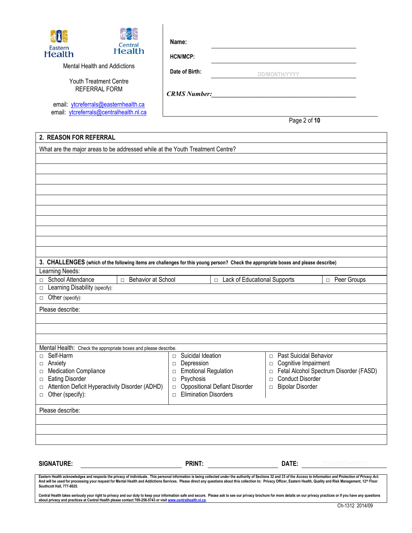

**HCN/MCP:**

Mental Health and Addictions

**Date of Birth:**

 **DD/MONTH/YYYY**

Youth Treatment Centre REFERRAL FORM

email: [ytcreferrals@easternhealth.ca](mailto:ytcreferrals@easternhealth.ca) email: [ytcreferrals@centralhealth.nl.ca](mailto:ytcreferrals@centralhealth.nl.ca) *CRMS Number:\_\_\_\_\_\_\_\_\_\_\_\_\_\_\_\_\_\_\_\_\_\_\_\_\_\_\_\_\_\_\_\_\_\_\_\_\_\_\_\_\_\_\_*

Page 2 of **10**

## **2. REASON FOR REFERRAL**

| What are the major areas to be addressed while at the Youth Treatment Centre?                                                      |                                                |                                        |
|------------------------------------------------------------------------------------------------------------------------------------|------------------------------------------------|----------------------------------------|
|                                                                                                                                    |                                                |                                        |
|                                                                                                                                    |                                                |                                        |
|                                                                                                                                    |                                                |                                        |
|                                                                                                                                    |                                                |                                        |
|                                                                                                                                    |                                                |                                        |
|                                                                                                                                    |                                                |                                        |
|                                                                                                                                    |                                                |                                        |
|                                                                                                                                    |                                                |                                        |
|                                                                                                                                    |                                                |                                        |
|                                                                                                                                    |                                                |                                        |
| 3. CHALLENGES (which of the following items are challenges for this young person? Check the appropriate boxes and please describe) |                                                |                                        |
| Learning Needs:                                                                                                                    |                                                |                                        |
| School Attendance<br>Behavior at School<br>$\Box$                                                                                  | □ Lack of Educational Supports                 | □ Peer Groups                          |
| Learning Disability (specify):<br>$\Box$                                                                                           |                                                |                                        |
| Other (specify):<br>$\Box$                                                                                                         |                                                |                                        |
| Please describe:                                                                                                                   |                                                |                                        |
|                                                                                                                                    |                                                |                                        |
|                                                                                                                                    |                                                |                                        |
|                                                                                                                                    |                                                |                                        |
| Mental Health: Check the appropriate boxes and please describe.                                                                    |                                                |                                        |
| Self-Harm<br>$\Box$                                                                                                                | Suicidal Ideation<br>$\Box$                    | Past Suicidal Behavior<br>$\Box$       |
| Anxiety<br>$\Box$                                                                                                                  | Depression<br>$\Box$                           | Cognitive Impairment<br>$\Box$         |
| <b>Medication Compliance</b><br>$\Box$                                                                                             | <b>Emotional Regulation</b><br>$\Box$          | Fetal Alcohol Spectrum Disorder (FASD) |
| <b>Eating Disorder</b><br>$\Box$                                                                                                   | Psychosis<br>$\Box$                            | <b>Conduct Disorder</b><br>$\Box$      |
| Attention Deficit Hyperactivity Disorder (ADHD)<br>$\Box$                                                                          | <b>Oppositional Defiant Disorder</b><br>$\Box$ | <b>Bipolar Disorder</b><br>$\Box$      |
| Other (specify):<br>$\Box$                                                                                                         | <b>Elimination Disorders</b><br>$\Box$         |                                        |
| Please describe:                                                                                                                   |                                                |                                        |
|                                                                                                                                    |                                                |                                        |
|                                                                                                                                    |                                                |                                        |
|                                                                                                                                    |                                                |                                        |
|                                                                                                                                    |                                                |                                        |
|                                                                                                                                    |                                                |                                        |
| <b>SIGNATURE:</b>                                                                                                                  | <b>PRINT:</b>                                  | DATE:<br><b>DD/MONTH/YYYY</b>          |

Eastern Health acknowledges and respects the privacy of individuals. This personal information is being collected under the authority of Sections 32 and 33 of the Access to Information and Protection of Privacy Act. And will be used for processing your request for Mental Health and Addictions Services. Please direct any questions about this collection to: Privacy Officer, Eastern Health, Quality and Risk Management, 12<sup>th</sup> Floor **Southcott Hall, 777-8025.**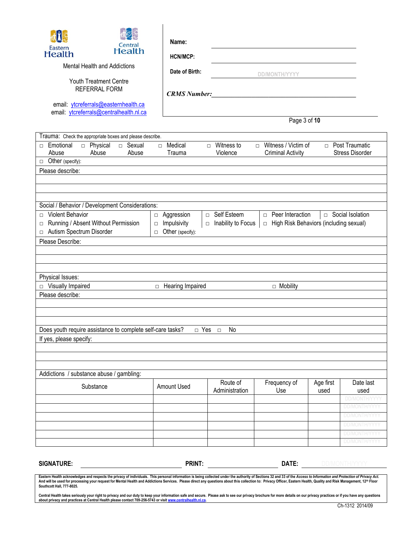| Mental Health and Addictions<br>Date of Birth:<br><b>DD/MONTH/YYYY</b><br><b>Youth Treatment Centre</b><br><b>REFERRAL FORM</b><br><b>CRMS Number:</b><br>email: ytcreferrals@easternhealth.ca<br>email: ytcreferrals@centralhealth.nl.ca<br>Page 3 of 10<br>Trauma: Check the appropriate boxes and please describe.<br>Witness / Victim of<br>□ Sexual<br>$\Box$ Medical<br>$\Box$ Witness to<br>□ Post Traumatic<br>Emotional<br>n Physical<br>$\Box$<br>$\Box$<br><b>Stress Disorder</b><br>Abuse<br>Abuse<br>Abuse<br>Trauma<br>Violence<br><b>Criminal Activity</b><br>$\Box$ Other (specify):<br>Please describe:<br>Social / Behavior / Development Considerations:<br><b>Violent Behavior</b><br>□ Self Esteem<br><b>D</b> Peer Interaction<br>□ Social Isolation<br>Aggression<br>$\Box$<br>$\Box$<br>Running / Absent Without Permission<br>Impulsivity<br>Inability to Focus<br>$\Box$ High Risk Behaviors (including sexual)<br>$\Box$<br>$\Box$<br>$\Box$<br>Autism Spectrum Disorder<br>Other (specify):<br>$\Box$<br>$\Box$<br>Please Describe:<br>Physical Issues:<br>$\Box$ Visually Impaired<br>□ Hearing Impaired<br>$\Box$ Mobility<br>Please describe:<br>Does youth require assistance to complete self-care tasks?<br>□ Yes<br>No<br>$\Box$<br>If yes, please specify:<br>Addictions / substance abuse / gambling:<br>Route of<br>Frequency of<br>Age first<br>Date last<br>Substance<br>Amount Used<br>Administration<br>Use<br>used<br>used<br>DD/MONTH/YYY<br>PRINT:<br>DATE:<br><b>SIGNATURE:</b><br>DD/MONTH/YYYY | Eastern<br>Health | Central<br><b>Health</b> | Name:<br><b>HCN/MCP:</b> |  |  |                      |
|------------------------------------------------------------------------------------------------------------------------------------------------------------------------------------------------------------------------------------------------------------------------------------------------------------------------------------------------------------------------------------------------------------------------------------------------------------------------------------------------------------------------------------------------------------------------------------------------------------------------------------------------------------------------------------------------------------------------------------------------------------------------------------------------------------------------------------------------------------------------------------------------------------------------------------------------------------------------------------------------------------------------------------------------------------------------------------------------------------------------------------------------------------------------------------------------------------------------------------------------------------------------------------------------------------------------------------------------------------------------------------------------------------------------------------------------------------------------------------------------------------------------------------------------|-------------------|--------------------------|--------------------------|--|--|----------------------|
|                                                                                                                                                                                                                                                                                                                                                                                                                                                                                                                                                                                                                                                                                                                                                                                                                                                                                                                                                                                                                                                                                                                                                                                                                                                                                                                                                                                                                                                                                                                                                |                   |                          |                          |  |  |                      |
|                                                                                                                                                                                                                                                                                                                                                                                                                                                                                                                                                                                                                                                                                                                                                                                                                                                                                                                                                                                                                                                                                                                                                                                                                                                                                                                                                                                                                                                                                                                                                |                   |                          |                          |  |  |                      |
|                                                                                                                                                                                                                                                                                                                                                                                                                                                                                                                                                                                                                                                                                                                                                                                                                                                                                                                                                                                                                                                                                                                                                                                                                                                                                                                                                                                                                                                                                                                                                |                   |                          |                          |  |  |                      |
|                                                                                                                                                                                                                                                                                                                                                                                                                                                                                                                                                                                                                                                                                                                                                                                                                                                                                                                                                                                                                                                                                                                                                                                                                                                                                                                                                                                                                                                                                                                                                |                   |                          |                          |  |  |                      |
|                                                                                                                                                                                                                                                                                                                                                                                                                                                                                                                                                                                                                                                                                                                                                                                                                                                                                                                                                                                                                                                                                                                                                                                                                                                                                                                                                                                                                                                                                                                                                |                   |                          |                          |  |  |                      |
|                                                                                                                                                                                                                                                                                                                                                                                                                                                                                                                                                                                                                                                                                                                                                                                                                                                                                                                                                                                                                                                                                                                                                                                                                                                                                                                                                                                                                                                                                                                                                |                   |                          |                          |  |  |                      |
|                                                                                                                                                                                                                                                                                                                                                                                                                                                                                                                                                                                                                                                                                                                                                                                                                                                                                                                                                                                                                                                                                                                                                                                                                                                                                                                                                                                                                                                                                                                                                |                   |                          |                          |  |  |                      |
|                                                                                                                                                                                                                                                                                                                                                                                                                                                                                                                                                                                                                                                                                                                                                                                                                                                                                                                                                                                                                                                                                                                                                                                                                                                                                                                                                                                                                                                                                                                                                |                   |                          |                          |  |  |                      |
|                                                                                                                                                                                                                                                                                                                                                                                                                                                                                                                                                                                                                                                                                                                                                                                                                                                                                                                                                                                                                                                                                                                                                                                                                                                                                                                                                                                                                                                                                                                                                |                   |                          |                          |  |  |                      |
|                                                                                                                                                                                                                                                                                                                                                                                                                                                                                                                                                                                                                                                                                                                                                                                                                                                                                                                                                                                                                                                                                                                                                                                                                                                                                                                                                                                                                                                                                                                                                |                   |                          |                          |  |  |                      |
|                                                                                                                                                                                                                                                                                                                                                                                                                                                                                                                                                                                                                                                                                                                                                                                                                                                                                                                                                                                                                                                                                                                                                                                                                                                                                                                                                                                                                                                                                                                                                |                   |                          |                          |  |  |                      |
|                                                                                                                                                                                                                                                                                                                                                                                                                                                                                                                                                                                                                                                                                                                                                                                                                                                                                                                                                                                                                                                                                                                                                                                                                                                                                                                                                                                                                                                                                                                                                |                   |                          |                          |  |  |                      |
|                                                                                                                                                                                                                                                                                                                                                                                                                                                                                                                                                                                                                                                                                                                                                                                                                                                                                                                                                                                                                                                                                                                                                                                                                                                                                                                                                                                                                                                                                                                                                |                   |                          |                          |  |  |                      |
|                                                                                                                                                                                                                                                                                                                                                                                                                                                                                                                                                                                                                                                                                                                                                                                                                                                                                                                                                                                                                                                                                                                                                                                                                                                                                                                                                                                                                                                                                                                                                |                   |                          |                          |  |  |                      |
|                                                                                                                                                                                                                                                                                                                                                                                                                                                                                                                                                                                                                                                                                                                                                                                                                                                                                                                                                                                                                                                                                                                                                                                                                                                                                                                                                                                                                                                                                                                                                |                   |                          |                          |  |  |                      |
|                                                                                                                                                                                                                                                                                                                                                                                                                                                                                                                                                                                                                                                                                                                                                                                                                                                                                                                                                                                                                                                                                                                                                                                                                                                                                                                                                                                                                                                                                                                                                |                   |                          |                          |  |  |                      |
|                                                                                                                                                                                                                                                                                                                                                                                                                                                                                                                                                                                                                                                                                                                                                                                                                                                                                                                                                                                                                                                                                                                                                                                                                                                                                                                                                                                                                                                                                                                                                |                   |                          |                          |  |  |                      |
|                                                                                                                                                                                                                                                                                                                                                                                                                                                                                                                                                                                                                                                                                                                                                                                                                                                                                                                                                                                                                                                                                                                                                                                                                                                                                                                                                                                                                                                                                                                                                |                   |                          |                          |  |  |                      |
|                                                                                                                                                                                                                                                                                                                                                                                                                                                                                                                                                                                                                                                                                                                                                                                                                                                                                                                                                                                                                                                                                                                                                                                                                                                                                                                                                                                                                                                                                                                                                |                   |                          |                          |  |  |                      |
|                                                                                                                                                                                                                                                                                                                                                                                                                                                                                                                                                                                                                                                                                                                                                                                                                                                                                                                                                                                                                                                                                                                                                                                                                                                                                                                                                                                                                                                                                                                                                |                   |                          |                          |  |  |                      |
|                                                                                                                                                                                                                                                                                                                                                                                                                                                                                                                                                                                                                                                                                                                                                                                                                                                                                                                                                                                                                                                                                                                                                                                                                                                                                                                                                                                                                                                                                                                                                |                   |                          |                          |  |  |                      |
|                                                                                                                                                                                                                                                                                                                                                                                                                                                                                                                                                                                                                                                                                                                                                                                                                                                                                                                                                                                                                                                                                                                                                                                                                                                                                                                                                                                                                                                                                                                                                |                   |                          |                          |  |  |                      |
|                                                                                                                                                                                                                                                                                                                                                                                                                                                                                                                                                                                                                                                                                                                                                                                                                                                                                                                                                                                                                                                                                                                                                                                                                                                                                                                                                                                                                                                                                                                                                |                   |                          |                          |  |  |                      |
|                                                                                                                                                                                                                                                                                                                                                                                                                                                                                                                                                                                                                                                                                                                                                                                                                                                                                                                                                                                                                                                                                                                                                                                                                                                                                                                                                                                                                                                                                                                                                |                   |                          |                          |  |  |                      |
|                                                                                                                                                                                                                                                                                                                                                                                                                                                                                                                                                                                                                                                                                                                                                                                                                                                                                                                                                                                                                                                                                                                                                                                                                                                                                                                                                                                                                                                                                                                                                |                   |                          |                          |  |  |                      |
|                                                                                                                                                                                                                                                                                                                                                                                                                                                                                                                                                                                                                                                                                                                                                                                                                                                                                                                                                                                                                                                                                                                                                                                                                                                                                                                                                                                                                                                                                                                                                |                   |                          |                          |  |  |                      |
|                                                                                                                                                                                                                                                                                                                                                                                                                                                                                                                                                                                                                                                                                                                                                                                                                                                                                                                                                                                                                                                                                                                                                                                                                                                                                                                                                                                                                                                                                                                                                |                   |                          |                          |  |  |                      |
|                                                                                                                                                                                                                                                                                                                                                                                                                                                                                                                                                                                                                                                                                                                                                                                                                                                                                                                                                                                                                                                                                                                                                                                                                                                                                                                                                                                                                                                                                                                                                |                   |                          |                          |  |  |                      |
|                                                                                                                                                                                                                                                                                                                                                                                                                                                                                                                                                                                                                                                                                                                                                                                                                                                                                                                                                                                                                                                                                                                                                                                                                                                                                                                                                                                                                                                                                                                                                |                   |                          |                          |  |  |                      |
|                                                                                                                                                                                                                                                                                                                                                                                                                                                                                                                                                                                                                                                                                                                                                                                                                                                                                                                                                                                                                                                                                                                                                                                                                                                                                                                                                                                                                                                                                                                                                |                   |                          |                          |  |  | <b>DD/MONTH/Y</b>    |
|                                                                                                                                                                                                                                                                                                                                                                                                                                                                                                                                                                                                                                                                                                                                                                                                                                                                                                                                                                                                                                                                                                                                                                                                                                                                                                                                                                                                                                                                                                                                                |                   |                          |                          |  |  | DD/MONTH/YYY         |
|                                                                                                                                                                                                                                                                                                                                                                                                                                                                                                                                                                                                                                                                                                                                                                                                                                                                                                                                                                                                                                                                                                                                                                                                                                                                                                                                                                                                                                                                                                                                                |                   |                          |                          |  |  | <b>DD/MONTH/YYYY</b> |
|                                                                                                                                                                                                                                                                                                                                                                                                                                                                                                                                                                                                                                                                                                                                                                                                                                                                                                                                                                                                                                                                                                                                                                                                                                                                                                                                                                                                                                                                                                                                                |                   |                          |                          |  |  | DD/MONTH/YYYY        |
|                                                                                                                                                                                                                                                                                                                                                                                                                                                                                                                                                                                                                                                                                                                                                                                                                                                                                                                                                                                                                                                                                                                                                                                                                                                                                                                                                                                                                                                                                                                                                |                   |                          |                          |  |  | DD/MONTH/YYY         |
|                                                                                                                                                                                                                                                                                                                                                                                                                                                                                                                                                                                                                                                                                                                                                                                                                                                                                                                                                                                                                                                                                                                                                                                                                                                                                                                                                                                                                                                                                                                                                |                   |                          |                          |  |  |                      |
|                                                                                                                                                                                                                                                                                                                                                                                                                                                                                                                                                                                                                                                                                                                                                                                                                                                                                                                                                                                                                                                                                                                                                                                                                                                                                                                                                                                                                                                                                                                                                |                   |                          |                          |  |  |                      |
| Eastern Health acknowledges and respects the privacy of individuals. This personal information is being collected under the authority of Sections 32 and 33 of the Access to Information and Protection of Privacy Act.                                                                                                                                                                                                                                                                                                                                                                                                                                                                                                                                                                                                                                                                                                                                                                                                                                                                                                                                                                                                                                                                                                                                                                                                                                                                                                                        |                   |                          |                          |  |  |                      |
| And will be used for processing your request for Mental Health and Addictions Services. Please direct any questions about this collection to: Privacy Officer, Eastern Health, Quality and Risk Management, 12 <sup>th</sup> Floor<br>Southcott Hall, 777-8025.                                                                                                                                                                                                                                                                                                                                                                                                                                                                                                                                                                                                                                                                                                                                                                                                                                                                                                                                                                                                                                                                                                                                                                                                                                                                                |                   |                          |                          |  |  |                      |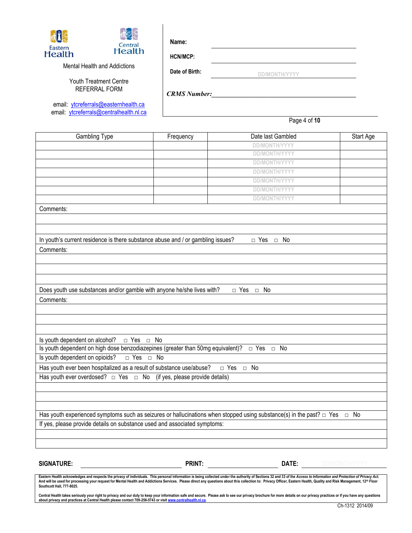

**HCN/MCP:**

Mental Health and Addictions

Youth Treatment Centre REFERRAL FORM

email: [ytcreferrals@easternhealth.ca](mailto:ytcreferrals@easternhealth.ca) email: [ytcreferrals@centralhealth.nl.ca](mailto:ytcreferrals@centralhealth.nl.ca)

 **DD/MONTH/YYYY**

*CRMS Number:\_\_\_\_\_\_\_\_\_\_\_\_\_\_\_\_\_\_\_\_\_\_\_\_\_\_\_\_\_\_\_\_\_\_\_\_\_\_\_\_\_\_\_*

**Date of Birth:**

Page 4 of **10**

| Gambling Type                                                                                                                       | Frequency | Date last Gambled    | Start Age |
|-------------------------------------------------------------------------------------------------------------------------------------|-----------|----------------------|-----------|
|                                                                                                                                     |           | <b>DD/MONTH/YYYY</b> |           |
|                                                                                                                                     |           | <b>DD/MONTH/YYYY</b> |           |
|                                                                                                                                     |           | <b>DD/MONTH/YYYY</b> |           |
|                                                                                                                                     |           | <b>DD/MONTH/YYYY</b> |           |
|                                                                                                                                     |           | <b>DD/MONTH/YYYY</b> |           |
|                                                                                                                                     |           | <b>DD/MONTH/YYYY</b> |           |
|                                                                                                                                     |           | <b>DD/MONTH/YYYY</b> |           |
| Comments:                                                                                                                           |           |                      |           |
|                                                                                                                                     |           |                      |           |
|                                                                                                                                     |           |                      |           |
| In youth's current residence is there substance abuse and / or gambling issues?                                                     |           | $\Box$ Yes $\Box$ No |           |
| Comments:                                                                                                                           |           |                      |           |
|                                                                                                                                     |           |                      |           |
|                                                                                                                                     |           |                      |           |
|                                                                                                                                     |           |                      |           |
|                                                                                                                                     |           |                      |           |
| Does youth use substances and/or gamble with anyone he/she lives with?                                                              |           | □ Yes □ No           |           |
| Comments:                                                                                                                           |           |                      |           |
|                                                                                                                                     |           |                      |           |
|                                                                                                                                     |           |                      |           |
|                                                                                                                                     |           |                      |           |
| Is youth dependent on alcohol? $\Box$ Yes $\Box$ No                                                                                 |           |                      |           |
| Is youth dependent on high dose benzodiazepines (greater than 50mg equivalent)? $\Box$ Yes $\Box$ No                                |           |                      |           |
| $\Box$ Yes $\Box$ No<br>Is youth dependent on opioids?                                                                              |           |                      |           |
| Has youth ever been hospitalized as a result of substance use/abuse? $\Box$ Yes $\Box$ No                                           |           |                      |           |
| Has youth ever overdosed? $\Box$ Yes $\Box$ No (if yes, please provide details)                                                     |           |                      |           |
|                                                                                                                                     |           |                      |           |
|                                                                                                                                     |           |                      |           |
|                                                                                                                                     |           |                      |           |
|                                                                                                                                     |           |                      |           |
| Has youth experienced symptoms such as seizures or hallucinations when stopped using substance(s) in the past? $\Box$ Yes $\Box$ No |           |                      |           |
| If yes, please provide details on substance used and associated symptoms:                                                           |           |                      |           |
|                                                                                                                                     |           |                      |           |
|                                                                                                                                     |           |                      |           |
|                                                                                                                                     |           |                      |           |

**SIGNATURE: PRINT: DATE:** DD/MONTH/YYYY

Eastern Health acknowledges and respects the privacy of individuals. This personal information is being collected under the authority of Sections 32 and 33 of the Access to Information and Protection of Privacy Act. And will be used for processing your request for Mental Health and Addictions Services. Please direct any questions about this collection to: Privacy Officer, Eastern Health, Quality and Risk Management, 12™ Floor<br>Southco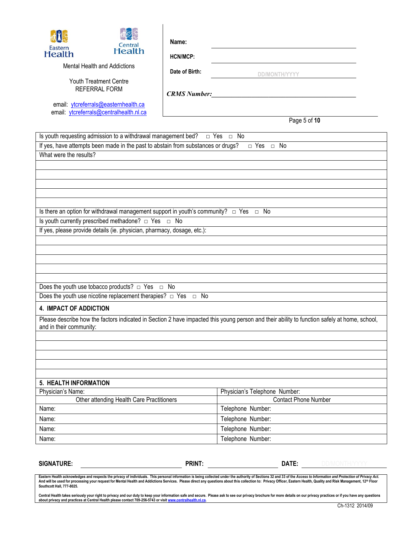| Î<br>Central<br>Eastern<br><b>Health</b><br><b>Health</b><br>Mental Health and Addictions<br>Youth Treatment Centre<br><b>REFERRAL FORM</b><br>email: ytcreferrals@easternhealth.ca<br>email: ytcreferrals@centralhealth.nl.ca               | Name:<br><b>HCN/MCP:</b><br>Date of Birth: | <b>DD/MONTH/YYYY</b>          |            |
|----------------------------------------------------------------------------------------------------------------------------------------------------------------------------------------------------------------------------------------------|--------------------------------------------|-------------------------------|------------|
|                                                                                                                                                                                                                                              |                                            | Page 5 of 10                  |            |
| Is youth requesting admission to a withdrawal management bed? $\Box$ Yes $\Box$ No                                                                                                                                                           |                                            |                               |            |
| If yes, have attempts been made in the past to abstain from substances or drugs?                                                                                                                                                             |                                            | $\Box$ Yes $\Box$ No          |            |
| What were the results?                                                                                                                                                                                                                       |                                            |                               |            |
|                                                                                                                                                                                                                                              |                                            |                               |            |
|                                                                                                                                                                                                                                              |                                            |                               |            |
|                                                                                                                                                                                                                                              |                                            |                               |            |
|                                                                                                                                                                                                                                              |                                            |                               |            |
|                                                                                                                                                                                                                                              |                                            |                               |            |
| Is there an option for withdrawal management support in youth's community? $\Box$ Yes $\Box$ No                                                                                                                                              |                                            |                               |            |
| Is youth currently prescribed methadone? □ Yes □ No                                                                                                                                                                                          |                                            |                               |            |
| If yes, please provide details (ie. physician, pharmacy, dosage, etc.):                                                                                                                                                                      |                                            |                               |            |
|                                                                                                                                                                                                                                              |                                            |                               |            |
|                                                                                                                                                                                                                                              |                                            |                               |            |
|                                                                                                                                                                                                                                              |                                            |                               |            |
|                                                                                                                                                                                                                                              |                                            |                               |            |
| Does the youth use tobacco products? $\Box$ Yes $\Box$ No                                                                                                                                                                                    |                                            |                               |            |
| Does the youth use nicotine replacement therapies? $\Box$ Yes $\Box$ No                                                                                                                                                                      |                                            |                               |            |
|                                                                                                                                                                                                                                              |                                            |                               |            |
| 4. IMPACT OF ADDICTION                                                                                                                                                                                                                       |                                            |                               |            |
| Please describe how the factors indicated in Section 2 have impacted this young person and their ability to function safely at home, school,<br>and in their community:                                                                      |                                            |                               |            |
|                                                                                                                                                                                                                                              |                                            |                               |            |
|                                                                                                                                                                                                                                              |                                            |                               |            |
|                                                                                                                                                                                                                                              |                                            |                               |            |
|                                                                                                                                                                                                                                              |                                            |                               |            |
| 5. HEALTH INFORMATION                                                                                                                                                                                                                        |                                            |                               |            |
| Physician's Name:                                                                                                                                                                                                                            |                                            | Physician's Telephone Number: |            |
| Other attending Health Care Practitioners                                                                                                                                                                                                    |                                            | <b>Contact Phone Number</b>   |            |
| Name:                                                                                                                                                                                                                                        |                                            | Telephone Number:             |            |
| Name:                                                                                                                                                                                                                                        |                                            | Telephone Number:             |            |
| Name:                                                                                                                                                                                                                                        |                                            | Telephone Number:             |            |
| Name:                                                                                                                                                                                                                                        |                                            | Telephone Number:             |            |
| <b>SIGNATURE:</b><br>Eastern Health acknowledges and respects the privacy of individuals. This personal information is being collected under the authority of Sections 32 and 33 of the Access to Information and Protection of Privacy Act. | <b>PRINT:</b>                              | DATE:                         | DD/MONTH/Y |

Eastern Health acknowledges and respects the privacy of individuals. This personal information is being collected under the authority of Sections 32 and 33 of the *Access to Information and Protection of Privacy Act.*<br>And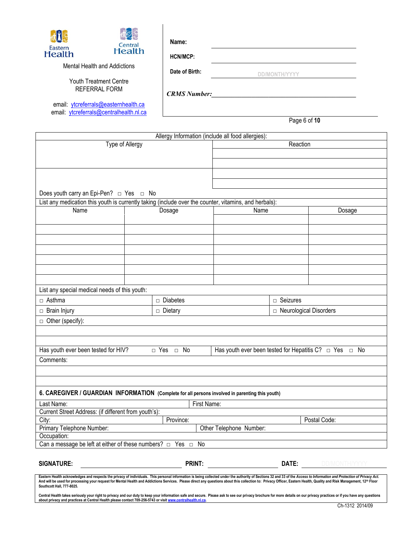| Eastern<br><b>Health</b> | Central<br><b>Health</b>                                                        | Name:<br>HCN/MCP:   |              |
|--------------------------|---------------------------------------------------------------------------------|---------------------|--------------|
|                          | Mental Health and Addictions                                                    | Date of Birth:      |              |
|                          | <b>Youth Treatment Centre</b><br>REFERRAL FORM                                  | <b>CRMS Number:</b> |              |
|                          | email: ytcreferrals@easternhealth.ca<br>email: ytcreferrals@centralhealth.nl.ca |                     | Page 6 of 10 |

|                                                                                                                                                                                                                                                                 |                 | Allergy Information (include all food allergies): |                         |                          |                                                                  |
|-----------------------------------------------------------------------------------------------------------------------------------------------------------------------------------------------------------------------------------------------------------------|-----------------|---------------------------------------------------|-------------------------|--------------------------|------------------------------------------------------------------|
| Type of Allergy                                                                                                                                                                                                                                                 |                 |                                                   | Reaction                |                          |                                                                  |
|                                                                                                                                                                                                                                                                 |                 |                                                   |                         |                          |                                                                  |
|                                                                                                                                                                                                                                                                 |                 |                                                   |                         |                          |                                                                  |
|                                                                                                                                                                                                                                                                 |                 |                                                   |                         |                          |                                                                  |
|                                                                                                                                                                                                                                                                 |                 |                                                   |                         |                          |                                                                  |
| Does youth carry an Epi-Pen? $\Box$ Yes $\Box$ No                                                                                                                                                                                                               |                 |                                                   |                         |                          |                                                                  |
| List any medication this youth is currently taking (include over the counter, vitamins, and herbals):                                                                                                                                                           |                 |                                                   |                         |                          |                                                                  |
| Name                                                                                                                                                                                                                                                            | Dosage          |                                                   | Name                    |                          | Dosage                                                           |
|                                                                                                                                                                                                                                                                 |                 |                                                   |                         |                          |                                                                  |
|                                                                                                                                                                                                                                                                 |                 |                                                   |                         |                          |                                                                  |
|                                                                                                                                                                                                                                                                 |                 |                                                   |                         |                          |                                                                  |
|                                                                                                                                                                                                                                                                 |                 |                                                   |                         |                          |                                                                  |
|                                                                                                                                                                                                                                                                 |                 |                                                   |                         |                          |                                                                  |
|                                                                                                                                                                                                                                                                 |                 |                                                   |                         |                          |                                                                  |
|                                                                                                                                                                                                                                                                 |                 |                                                   |                         |                          |                                                                  |
|                                                                                                                                                                                                                                                                 |                 |                                                   |                         |                          |                                                                  |
|                                                                                                                                                                                                                                                                 |                 |                                                   |                         |                          |                                                                  |
| List any special medical needs of this youth:                                                                                                                                                                                                                   |                 |                                                   |                         |                          |                                                                  |
| $\Box$ Asthma                                                                                                                                                                                                                                                   | $\Box$ Diabetes |                                                   |                         | $\Box$ Seizures          |                                                                  |
| □ Brain Injury                                                                                                                                                                                                                                                  | □ Dietary       |                                                   |                         | □ Neurological Disorders |                                                                  |
| $\Box$ Other (specify):                                                                                                                                                                                                                                         |                 |                                                   |                         |                          |                                                                  |
|                                                                                                                                                                                                                                                                 |                 |                                                   |                         |                          |                                                                  |
|                                                                                                                                                                                                                                                                 |                 |                                                   |                         |                          |                                                                  |
|                                                                                                                                                                                                                                                                 |                 |                                                   |                         |                          |                                                                  |
| Has youth ever been tested for HIV?                                                                                                                                                                                                                             | □ Yes □ No      |                                                   |                         |                          | Has youth ever been tested for Hepatitis C? $\Box$ Yes $\Box$ No |
| Comments:                                                                                                                                                                                                                                                       |                 |                                                   |                         |                          |                                                                  |
|                                                                                                                                                                                                                                                                 |                 |                                                   |                         |                          |                                                                  |
|                                                                                                                                                                                                                                                                 |                 |                                                   |                         |                          |                                                                  |
|                                                                                                                                                                                                                                                                 |                 |                                                   |                         |                          |                                                                  |
| 6. CAREGIVER / GUARDIAN INFORMATION (Complete for all persons involved in parenting this youth)                                                                                                                                                                 |                 |                                                   |                         |                          |                                                                  |
| Last Name:                                                                                                                                                                                                                                                      |                 | First Name:                                       |                         |                          |                                                                  |
| Current Street Address: (if different from youth's):                                                                                                                                                                                                            |                 |                                                   |                         |                          |                                                                  |
| City:<br>Province:                                                                                                                                                                                                                                              |                 |                                                   |                         | Postal Code:             |                                                                  |
| Primary Telephone Number:                                                                                                                                                                                                                                       |                 |                                                   | Other Telephone Number: |                          |                                                                  |
| Occupation:                                                                                                                                                                                                                                                     |                 |                                                   |                         |                          |                                                                  |
| Can a message be left at either of these numbers? $\Box$                                                                                                                                                                                                        | Yes             | No<br>$\Box$                                      |                         |                          |                                                                  |
|                                                                                                                                                                                                                                                                 |                 |                                                   |                         |                          |                                                                  |
| <b>SIGNATURE:</b>                                                                                                                                                                                                                                               |                 | <b>PRINT:</b>                                     |                         | DATE:                    |                                                                  |
| Eastern Health acknowledges and respects the privacy of individuals. This personal information is being collected under the authority of Sections 32 and 33 of the Access to Information and Protection of Privacy Act.                                         |                 |                                                   |                         |                          |                                                                  |
| And will be used for processing your request for Mental Health and Addictions Services. Please direct any questions about this collection to: Privacy Officer, Eastern Health, Quality and Risk Management, 12 <sup>th</sup> Floor<br>Southcott Hall, 777-8025. |                 |                                                   |                         |                          |                                                                  |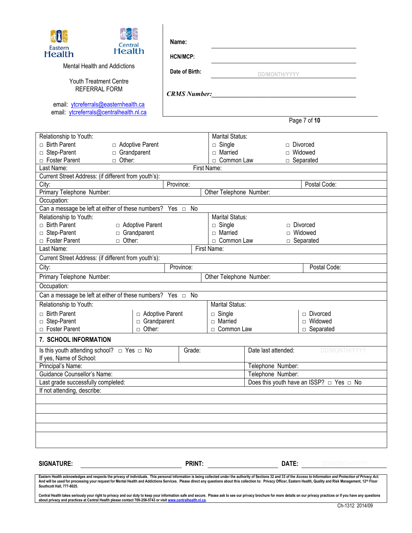| Eastern<br><b>Health</b><br>Mental Health and Addictions<br><b>Youth Treatment Centre</b><br><b>REFERRAL FORM</b><br>email: ytcreferrals@easternhealth.ca<br>email: ytcreferrals@centralhealth.nl.ca     | <b>Central</b><br>Health                                 | Name:     | <b>HCN/MCP:</b><br>Date of Birth:<br><b>CRMS Number:</b> |                                                                                          | <b>DD/MONTH/YYYY</b>                                          | Page 7 of 10                                                               |
|----------------------------------------------------------------------------------------------------------------------------------------------------------------------------------------------------------|----------------------------------------------------------|-----------|----------------------------------------------------------|------------------------------------------------------------------------------------------|---------------------------------------------------------------|----------------------------------------------------------------------------|
|                                                                                                                                                                                                          |                                                          |           |                                                          |                                                                                          |                                                               |                                                                            |
| Relationship to Youth:<br>$\Box$ Birth Parent<br>□ Step-Parent<br>□ Foster Parent                                                                                                                        | □ Adoptive Parent<br>Grandparent<br>$\Box$ Other:        |           |                                                          | Marital Status:<br>$\Box$ Single<br>$\Box$ Married<br>□ Common Law                       |                                                               | Divorced<br>$\Box$ Widowed<br>$\Box$ Separated                             |
| Last Name:                                                                                                                                                                                               |                                                          |           | First Name:                                              |                                                                                          |                                                               |                                                                            |
| Current Street Address: (if different from youth's):                                                                                                                                                     |                                                          |           |                                                          |                                                                                          |                                                               | Postal Code:                                                               |
| City:<br>Primary Telephone Number:                                                                                                                                                                       |                                                          | Province: |                                                          | Other Telephone Number:                                                                  |                                                               |                                                                            |
| Occupation:                                                                                                                                                                                              |                                                          |           |                                                          |                                                                                          |                                                               |                                                                            |
| Can a message be left at either of these numbers? Yes $\Box$ No                                                                                                                                          |                                                          |           |                                                          |                                                                                          |                                                               |                                                                            |
| Relationship to Youth:<br>$\Box$ Birth Parent<br>□ Step-Parent<br>□ Foster Parent<br>Last Name:                                                                                                          | □ Adoptive Parent<br>□ Grandparent<br>$\Box$ Other:      |           |                                                          | <b>Marital Status:</b><br>$\Box$ Single<br>$\Box$ Married<br>□ Common Law<br>First Name: |                                                               | $\Box$ Divorced<br>$\Box$ Widowed<br>$\Box$ Separated                      |
| Current Street Address: (if different from youth's):                                                                                                                                                     |                                                          |           |                                                          |                                                                                          |                                                               |                                                                            |
| City:                                                                                                                                                                                                    |                                                          |           | Province:                                                |                                                                                          |                                                               | Postal Code:                                                               |
| Primary Telephone Number:                                                                                                                                                                                |                                                          |           |                                                          | Other Telephone Number:                                                                  |                                                               |                                                                            |
| Occupation:                                                                                                                                                                                              |                                                          |           |                                                          |                                                                                          |                                                               |                                                                            |
|                                                                                                                                                                                                          |                                                          |           |                                                          |                                                                                          |                                                               |                                                                            |
| Relationship to Youth:<br>$\Box$ Birth Parent<br>□ Step-Parent<br>□ Foster Parent                                                                                                                        | □ Adoptive Parent<br>$\Box$ Grandparent<br>$\Box$ Other: |           |                                                          | Marital Status:<br>$\Box$ Single<br>□ Married<br>□ Common Law                            |                                                               | □ Divorced<br>□ Widowed<br>$\Box$ Separated                                |
| 7. SCHOOL INFORMATION                                                                                                                                                                                    |                                                          |           |                                                          |                                                                                          |                                                               |                                                                            |
| Is this youth attending school? $\Box$ Yes $\Box$ No<br>If yes, Name of School:<br>Principal's Name:<br>Guidance Counsellor's Name:<br>Last grade successfully completed:<br>If not attending, describe: |                                                          |           | Grade:                                                   |                                                                                          | Date last attended:<br>Telephone Number:<br>Telephone Number: | <b>DD/MONTH/YYYY</b><br>Does this youth have an ISSP? $\Box$ Yes $\Box$ No |
|                                                                                                                                                                                                          |                                                          |           |                                                          |                                                                                          |                                                               |                                                                            |
|                                                                                                                                                                                                          |                                                          |           |                                                          |                                                                                          |                                                               |                                                                            |
| <b>SIGNATURE:</b>                                                                                                                                                                                        |                                                          |           | <b>PRINT:</b>                                            |                                                                                          |                                                               | DATE: DD/MONTH/YYYY                                                        |

Eastern Health acknowledges and respects the privacy of individuals. This personal information is being collected under the authority of Sections 32 and 33 of the Access to Information and Protection of Privacy Act. And will be used for processing your request for Mental Health and Addictions Services. Please direct any questions about this collection to: Privacy Officer, Eastern Health, Quality and Risk Management, 12™ Floor<br>Southco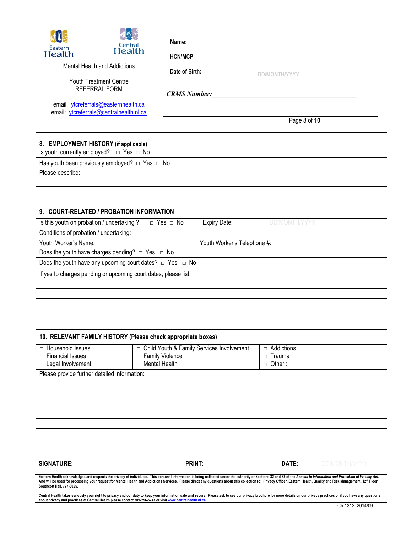

**HCN/MCP:**

Mental Health and Addictions

Youth Treatment Centre REFERRAL FORM

email: [ytcreferrals@easternhealth.ca](mailto:ytcreferrals@easternhealth.ca) email: [ytcreferrals@centralhealth.nl.ca](mailto:ytcreferrals@centralhealth.nl.ca) *CRMS Number:\_\_\_\_\_\_\_\_\_\_\_\_\_\_\_\_\_\_\_\_\_\_\_\_\_\_\_\_\_\_\_\_\_\_\_\_\_\_\_\_\_\_\_*

**Date of Birth:**

Page 8 of **10**

 **DD/MONTH/YYYY**

| 8. EMPLOYMENT HISTORY (if applicable)                              |                                             |                             |                      |  |
|--------------------------------------------------------------------|---------------------------------------------|-----------------------------|----------------------|--|
| Is youth currently employed? $\Box$ Yes $\Box$ No                  |                                             |                             |                      |  |
| Has youth been previously employed? $\Box$ Yes $\Box$ No           |                                             |                             |                      |  |
| Please describe:                                                   |                                             |                             |                      |  |
|                                                                    |                                             |                             |                      |  |
|                                                                    |                                             |                             |                      |  |
| 9. COURT-RELATED / PROBATION INFORMATION                           |                                             |                             |                      |  |
| Is this youth on probation / undertaking ?                         | $\Box$ Yes $\Box$ No                        | Expiry Date:                | <b>DD/MONTH/YYYY</b> |  |
| Conditions of probation / undertaking:                             |                                             |                             |                      |  |
| Youth Worker's Name:                                               |                                             | Youth Worker's Telephone #: |                      |  |
| Does the youth have charges pending? $\Box$ Yes $\Box$ No          |                                             |                             |                      |  |
| Does the youth have any upcoming court dates? $\Box$ Yes $\Box$ No |                                             |                             |                      |  |
| If yes to charges pending or upcoming court dates, please list:    |                                             |                             |                      |  |
|                                                                    |                                             |                             |                      |  |
|                                                                    |                                             |                             |                      |  |
|                                                                    |                                             |                             |                      |  |
|                                                                    |                                             |                             |                      |  |
|                                                                    |                                             |                             |                      |  |
| 10. RELEVANT FAMILY HISTORY (Please check appropriate boxes)       |                                             |                             |                      |  |
| □ Household Issues                                                 | □ Child Youth & Family Services Involvement |                             | $\Box$ Addictions    |  |
| $\Box$ Financial Issues                                            | □ Family Violence                           |                             | $\Box$ Trauma        |  |
| □ Mental Health<br>□ Legal Involvement                             |                                             |                             | $\Box$ Other:        |  |
| Please provide further detailed information:                       |                                             |                             |                      |  |
|                                                                    |                                             |                             |                      |  |
|                                                                    |                                             |                             |                      |  |
|                                                                    |                                             |                             |                      |  |
|                                                                    |                                             |                             |                      |  |
|                                                                    |                                             |                             |                      |  |
|                                                                    |                                             |                             |                      |  |
|                                                                    |                                             |                             |                      |  |

**SIGNATURE: PRINT: DATE:** DD/MONTH/YYYY

Eastern Health acknowledges and respects the privacy of individuals. This personal information is being collected under the authority of Sections 32 and 33 of the Access to Information and Protection of Privacy Act. And will be used for processing your request for Mental Health and Addictions Services. Please direct any questions about this collection to: Privacy Officer, Eastern Health, Quality and Risk Management, 12™ Floor<br>Southco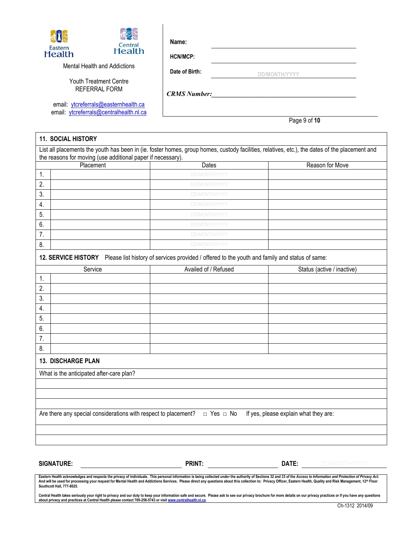

**HCN/MCP:**

Mental Health and Addictions

Youth Treatment Centre REFERRAL FORM

email: [ytcreferrals@easternhealth.ca](mailto:ytcreferrals@easternhealth.ca) email: [ytcreferrals@centralhealth.nl.ca](mailto:ytcreferrals@centralhealth.nl.ca) **Date of Birth:**

 **DD/MONTH/YYYY**

*CRMS Number:\_\_\_\_\_\_\_\_\_\_\_\_\_\_\_\_\_\_\_\_\_\_\_\_\_\_\_\_\_\_\_\_\_\_\_\_\_\_\_\_\_\_\_*

Page 9 of **10**

| <b>11. SOCIAL HISTORY</b>                                   |                                                                                                                                                |                                       |
|-------------------------------------------------------------|------------------------------------------------------------------------------------------------------------------------------------------------|---------------------------------------|
|                                                             | List all placements the youth has been in (ie. foster homes, group homes, custody facilities, relatives, etc.), the dates of the placement and |                                       |
| the reasons for moving (use additional paper if necessary). |                                                                                                                                                |                                       |
| Placement                                                   | Dates                                                                                                                                          | Reason for Move                       |
| 1.                                                          | DD/MONTH/YYYY                                                                                                                                  |                                       |
| 2.                                                          | DD/MONTH/YYYY                                                                                                                                  |                                       |
| 3.                                                          | DD/MONTH/YYYY                                                                                                                                  |                                       |
| 4.                                                          | DD/MONTH/YYYY                                                                                                                                  |                                       |
| 5.                                                          | DD/MONTH/YYYY                                                                                                                                  |                                       |
| 6.                                                          | <b>DD/MONTH/YYYY</b>                                                                                                                           |                                       |
| 7.                                                          | <b>DD/MONTH/YYYY</b>                                                                                                                           |                                       |
| 8.                                                          | DD/MONTH/YYYY                                                                                                                                  |                                       |
|                                                             | 12. SERVICE HISTORY Please list history of services provided / offered to the youth and family and status of same:                             |                                       |
| Service                                                     | Availed of / Refused                                                                                                                           | Status (active / inactive)            |
| 1.                                                          |                                                                                                                                                |                                       |
| 2.                                                          |                                                                                                                                                |                                       |
| 3.                                                          |                                                                                                                                                |                                       |
| 4.                                                          |                                                                                                                                                |                                       |
| 5.                                                          |                                                                                                                                                |                                       |
| 6.                                                          |                                                                                                                                                |                                       |
| 7.                                                          |                                                                                                                                                |                                       |
| 8.                                                          |                                                                                                                                                |                                       |
| <b>13. DISCHARGE PLAN</b>                                   |                                                                                                                                                |                                       |
| What is the anticipated after-care plan?                    |                                                                                                                                                |                                       |
|                                                             |                                                                                                                                                |                                       |
|                                                             |                                                                                                                                                |                                       |
|                                                             |                                                                                                                                                |                                       |
|                                                             | Are there any special considerations with respect to placement? $\Box$ Yes $\Box$ No                                                           | If yes, please explain what they are: |
|                                                             |                                                                                                                                                |                                       |
|                                                             |                                                                                                                                                |                                       |
|                                                             |                                                                                                                                                |                                       |
|                                                             |                                                                                                                                                |                                       |
| <b>SIGNATURE:</b>                                           | <b>PRINT:</b>                                                                                                                                  | DATE:<br>DD/MONTH/YYYY                |

Eastern Health acknowledges and respects the privacy of individuals. This personal information is being collected under the authority of Sections 32 and 33 of the Access to Information and Protection of Privacy Act. And will be used for processing your request for Mental Health and Addictions Services. Please direct any questions about this collection to: Privacy Officer, Eastern Health, Quality and Risk Management, 12™ Floor<br>Southco